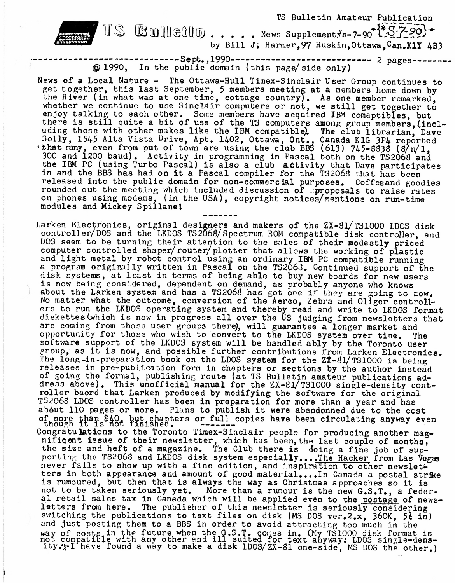

------------------Sept.,1990-------------------------------- 2 pages-----<br>© 1990, In the public domain (this page/side only)

News of a Local Nature - The Ottawa-Hull Timex-Sinclair User Group continues to get together, this last September, <sup>5</sup> members meeting at a members home down by the River (in what was at one time, cottage country). As one member remarked, whether we continue to use Sinclair computers or not, we still get together to enjoy talking to each other. Some members have acquired IBM comaptibles, but there is still quite a bit of use of the TS computers among group members, (including those with other makes like the IBM compatible), The club librarian, Dave Solly, 1545 Alta Vista Drive, Apt. 1402, Ottawa, Ont., Canada KIG 3P4 reported that many, even from out of town are using the club BBS (6l3) 745-8838 (8/ $n/1$ , 300 and 1200 baud). Activity in programming in Pascal both on the TS2068 and the IBM PC (using Turbo Pascal) is also a club activity that Dave participates in and the BBS has had on it a Pascal compiler for the TS2068 that has been released into the public domain for non-commercial purposes. Coffeeand goodies rounded out the meeting which included discussion of  $\wp$  proposals to raise rates on phones using modems, (in the USA), copyright notices/mentions on run-time on phones doing modems, the

Larken Electronics, original designers and makers of the ZX-81/TS1000 LDOS disk controller/DOS and the LKDOS TS2068/Spectrum ROM compatible disk controller, and DOS seem to be turning their attention to the sales of their modestly priced computer controlled shaper/router/plotter that allows the working of plastic and light metal by robot control using an ordinary IBM PC compatible running a program originally written in Pascal on the TS2068. Continued support of the disk systems, at least in terms of being able to buy new boards for new users is now being considered, dependent on demand, as probably anyone who knows about the Darken system and has <sup>a</sup> TS206B has got one if they are going to now. No matter what the outcome, conversion of the Aerco, Zebra and Oliger controllers to run the LKDOS operating system and thereby read and write to LKDOS format diskettes (which is now in progress all over the US judging from newsletters that are coming from those user groups there), will guarantee a longer market and opportunity for those who wish to convert to the LKDOS system over time. The software support of the LKDOS system will be handled ably by the Toronto user group, as it is now, and possible further contributions from Larken Electronics. The long-in-preparation book on the LDOS system for the  $2\hat{x}-81/$ TS1000 is being releases in pre-publication form in chapters or sections by the author instead of going the formal, publishing route (at TS Bulletin amateur publications ad dress above). This unofficial manual for the ZX-81/TS1000 single-density controller baord that Larken produced by modifying the software for the original TS206B LDOS controller has been in preparation for more than a year and has abdut <sup>110</sup> pages or more. Plans to publish it were abandonned due to the cost of more than \$40, but chapters or full copies have been circulating anyway even Congratulations to the Toronto Timex-Sinclair people for producing another magongradulations to the foronto finds-bindiari people for producing another magnificent issue of their newsletter, which has been, the last couple of months, the size and heft of a magazine. The Club there is doing a fine job of supporting the TS2068 and LKDOS disk system especially... The Hacker from Las Vegas never fails to show up with a fine edition, and inspiration to other newsletnever fails to show up with a fine edition, and inspiration to other newslet.<br>ters in both appearance and amount of good material....In Canada a postal strike is rumoured, but then that is always the way as Christmas approaches so it is not to be taken seriously yet. More than a rumour is the new G.S.T., a federal retail sales tax in Canada which will be applied even to the postage of newsletters from here. The publisher of this newsletter is seriously considering switching the publications to text files on disk (MS DOS ver.2.x, 360K, 5<sup>1</sup> in) and just posting them to a BBS in order to avoid attracting too much in the and just posting them to a BBS in order to avoid attracting too much in the way of costs in the future when the G.S.T. comes in. (My TSIOOO disk format is not compatible with any other and ill suited for text anyway: LDOS ity.\*\*I have found a way to make a disk LDOS/ZX-81 one-side, MS DOS the other.)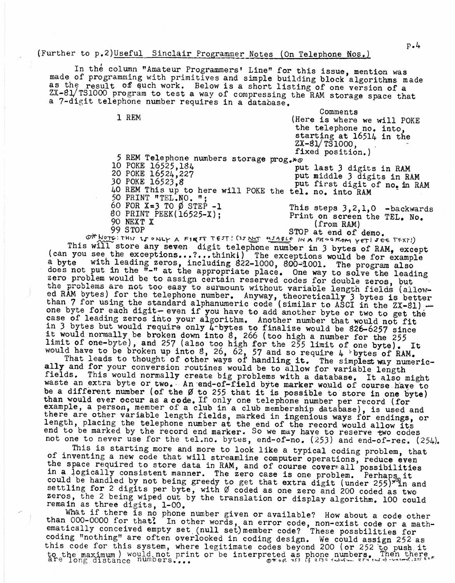## (Further to p.2)Useful Sinclair Programmer Notes (On Telephone Nos.)

In the column "Amateur Programmers' Line" for this issue, mention was made of programming with primitives and simple building block algorithms made as the result of such work. Below is a short listing of one version of a ZX-8l/fS1000 program to test a way of compressing the RAM storage space that a 7-digit telephone number requires in a database.

de la comments<br>  $\frac{1}{1}$  REM  $\frac{1}{1}$  Comments (Here is where we will POKE the telephone no. into, starting at I6514 in the ZX-81/TS1000, fixed position.) 5 REM Telephone numbers storage  $proj_{*}$ 10 POKE 16525,184 20 POKE 16524,227 30 POKE 16523,8 40 REM This up to here will POKE the tel. no. into RAM 50 PRINT "TEL.NO. "j put last <sup>3</sup> digits in RAM put middle <sup>3</sup> digits in RAM put first digit of no. in RAM 60 FOR  $X=3$  TO  $\emptyset$  STEP -1 80 PRINT PEEK(16525-X); 90 NEXT X 99 STOP This steps 3,2,1,0 -backwards Print on screen the TEL. No. (from RAM)

STOP at end of demo. ON NOTE: THIS IS ONLY A FIRST TEST! (IS NOT WIABLE IN A PROGRAM YET! JEE TEXT!) This will store any seven digit telephone number in 3 bytes of RAM, except (can you see the exceptions...?...think!) The exceptions would be for example<br>a byte with leading zeros, including 822-1000 800-4001 The pregram also with leading zeros, including 822-1000, 800-1001. The program also does not put in the  $\overline{n}-\overline{n}$  at the appropriate place. One way to solve the leading zero problem would be to assign certain reserved codes for double zeros, but the problems are not too easy to surmount without variable length fields (allowed RAM bytes) for the telephone number. Anyway, theoretically 3 bytes is better than 7 for using the standard alphanumeric code (similar to ASCI in the ZX-81) one byte for each digit-even if you have to add another byte or two to get the case of leading zeros into your algorithm. Another number that would not fit in 3 bytes but would require only  $4$ -bytes to finalize would be 826-6257 since It would normally be broken down into <sup>8</sup>, <sup>266</sup> (too high <sup>a</sup> number for the <sup>255</sup> limit of one-byte), and <sup>257</sup> (also too high for the <sup>255</sup> limit of one byte). It That of one-byte), and  $25$  (also too high for the 255 limit of one byte). I<br>would have to be broken up into 8, 26, 62, 57 and so require 4 >bytes of RAM.

That leads to thought of other ways of handling it. The simplest way numeric-<br>That leads to thought of other ways of handling it. The simplest way numerically and for your conversion routines would be to allow for variable length fields. This would normally create big problems with a database. It also might waste an extra byte or two. An end-of-field byte marker would of course have to which an excite byce of two. An eng-of-liefd byte marker would of course have to<br>be a different number (of the  $\emptyset$  to 255 that it is possible to store in one byte) than would ever occur as a code. If only one telephone number per record (for example, a person, member of a club in a club membership database), is used and person, a person, member of a club in a club membership database, is used and<br>there are other variable length fields, marked in ingenious ways for endings, or encre are coner variable length fields, marked in ingenious ways for endings,<br>length, placing the telephone number at the end of the record would allow its end to be marked by the record end marker. So we may have to reserve two codes not one to never use for the tel.no. bytes, end-of-no. (253) and end-of-rec. (254).

This is starting more and more to look like a typical coding problem, that of inventing a new code that will streamline computer operations, reduce even the space required to store data in RAM, and of course cover all possibilities in a logically consistent manner. The zero case is one problem. Perhaps it could be handled by not being greedy to get that extra digit (under  $255$ )<sup>xq</sup>in and settling for 2 digits per byte, with  $\emptyset$  coded as one zero and 200 coded as two zeros, the 2 being wiped out by the translation or display algorithm. 100 could<br>remain as three digits, 1-00.

What if there is no phone number given or available? How about a code other than  $000-0000$  for that? In other words, an error code, non-exist code or a mathematically conceived empty set. (null set) member code? These possbilities for coding "nothing" are often overlooked in coding design. We could assign 252 as this code for this system, where legitimate codes beyond <sup>200</sup> (or <sup>252</sup> to push it to the maximum ) would not print or be interpreted as phone numbers. Then there are long distance numbers, ...